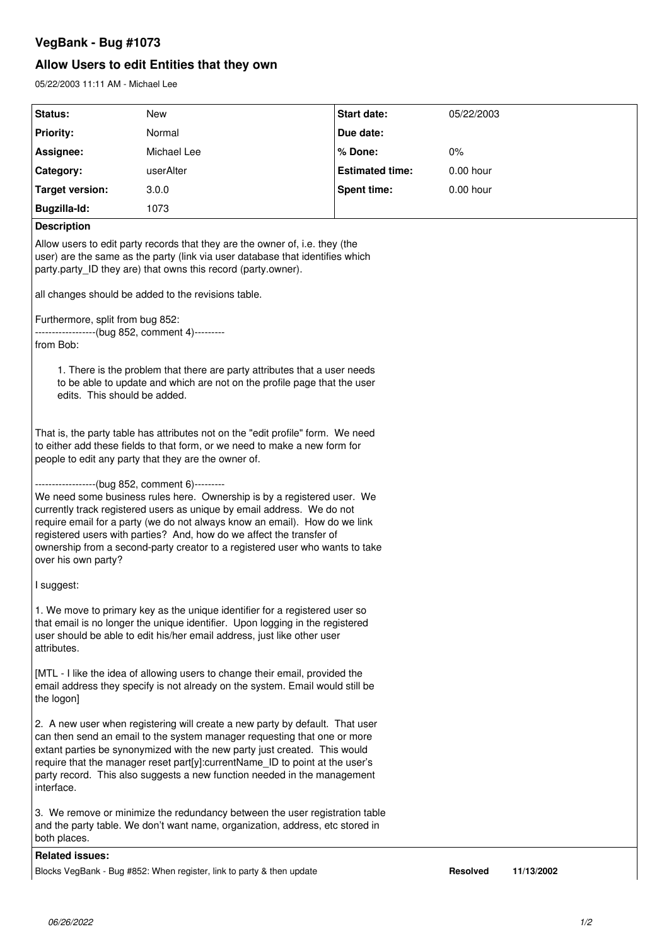# **VegBank - Bug #1073**

# **Allow Users to edit Entities that they own**

05/22/2003 11:11 AM - Michael Lee

| Status:                                                                                                                                                                                                                                                                                                                                                                                                                                                           | New                                                                   | Start date:            | 05/22/2003      |            |
|-------------------------------------------------------------------------------------------------------------------------------------------------------------------------------------------------------------------------------------------------------------------------------------------------------------------------------------------------------------------------------------------------------------------------------------------------------------------|-----------------------------------------------------------------------|------------------------|-----------------|------------|
| <b>Priority:</b>                                                                                                                                                                                                                                                                                                                                                                                                                                                  | Normal                                                                | Due date:              |                 |            |
| Assignee:                                                                                                                                                                                                                                                                                                                                                                                                                                                         | Michael Lee                                                           | % Done:                | 0%              |            |
| Category:                                                                                                                                                                                                                                                                                                                                                                                                                                                         | userAlter                                                             | <b>Estimated time:</b> | 0.00 hour       |            |
| <b>Target version:</b>                                                                                                                                                                                                                                                                                                                                                                                                                                            | 3.0.0                                                                 | <b>Spent time:</b>     | 0.00 hour       |            |
| Bugzilla-Id:                                                                                                                                                                                                                                                                                                                                                                                                                                                      | 1073                                                                  |                        |                 |            |
| <b>Description</b>                                                                                                                                                                                                                                                                                                                                                                                                                                                |                                                                       |                        |                 |            |
| Allow users to edit party records that they are the owner of, i.e. they (the<br>user) are the same as the party (link via user database that identifies which<br>party.party_ID they are) that owns this record (party.owner).                                                                                                                                                                                                                                    |                                                                       |                        |                 |            |
| all changes should be added to the revisions table.                                                                                                                                                                                                                                                                                                                                                                                                               |                                                                       |                        |                 |            |
| Furthermore, split from bug 852:<br>------------------(bug 852, comment 4)---------<br>from Bob:                                                                                                                                                                                                                                                                                                                                                                  |                                                                       |                        |                 |            |
| 1. There is the problem that there are party attributes that a user needs<br>to be able to update and which are not on the profile page that the user<br>edits. This should be added.                                                                                                                                                                                                                                                                             |                                                                       |                        |                 |            |
| That is, the party table has attributes not on the "edit profile" form. We need<br>to either add these fields to that form, or we need to make a new form for<br>people to edit any party that they are the owner of.                                                                                                                                                                                                                                             |                                                                       |                        |                 |            |
| ------------------(bug 852, comment 6)---------<br>We need some business rules here. Ownership is by a registered user. We<br>currently track registered users as unique by email address. We do not<br>require email for a party (we do not always know an email). How do we link<br>registered users with parties? And, how do we affect the transfer of<br>ownership from a second-party creator to a registered user who wants to take<br>over his own party? |                                                                       |                        |                 |            |
| I suggest:                                                                                                                                                                                                                                                                                                                                                                                                                                                        |                                                                       |                        |                 |            |
| 1. We move to primary key as the unique identifier for a registered user so<br>that email is no longer the unique identifier. Upon logging in the registered<br>user should be able to edit his/her email address, just like other user<br>attributes.                                                                                                                                                                                                            |                                                                       |                        |                 |            |
| [MTL - I like the idea of allowing users to change their email, provided the<br>email address they specify is not already on the system. Email would still be<br>the logon]                                                                                                                                                                                                                                                                                       |                                                                       |                        |                 |            |
| 2. A new user when registering will create a new party by default. That user<br>can then send an email to the system manager requesting that one or more<br>extant parties be synonymized with the new party just created. This would<br>require that the manager reset part[y]:currentName_ID to point at the user's<br>party record. This also suggests a new function needed in the management<br>interface.                                                   |                                                                       |                        |                 |            |
| 3. We remove or minimize the redundancy between the user registration table<br>and the party table. We don't want name, organization, address, etc stored in<br>both places.                                                                                                                                                                                                                                                                                      |                                                                       |                        |                 |            |
| <b>Related issues:</b>                                                                                                                                                                                                                                                                                                                                                                                                                                            |                                                                       |                        |                 |            |
|                                                                                                                                                                                                                                                                                                                                                                                                                                                                   | Blocks VegBank - Bug #852: When register, link to party & then update |                        | <b>Resolved</b> | 11/13/2002 |